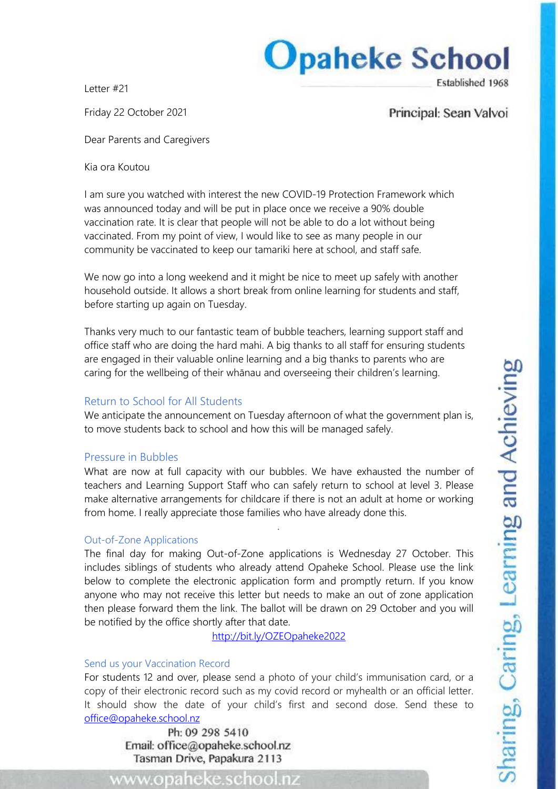# **Opaheke School** Established 1968

Letter #21

Friday 22 October 2021

Principal: Sean Valvoi

Dear Parents and Caregivers

Kia ora Koutou

I am sure you watched with interest the new COVID-19 Protection Framework which was announced today and will be put in place once we receive a 90% double vaccination rate. It is clear that people will not be able to do a lot without being vaccinated. From my point of view, I would like to see as many people in our community be vaccinated to keep our tamariki here at school, and staff safe.

We now go into a long weekend and it might be nice to meet up safely with another household outside. It allows a short break from online learning for students and staff, before starting up again on Tuesday.

Thanks very much to our fantastic team of bubble teachers, learning support staff and office staff who are doing the hard mahi. A big thanks to all staff for ensuring students are engaged in their valuable online learning and a big thanks to parents who are caring for the wellbeing of their whānau and overseeing their children's learning.

## Return to School for All Students

We anticipate the announcement on Tuesday afternoon of what the government plan is, to move students back to school and how this will be managed safely.

### Pressure in Bubbles

What are now at full capacity with our bubbles. We have exhausted the number of teachers and Learning Support Staff who can safely return to school at level 3. Please make alternative arrangements for childcare if there is not an adult at home or working from home. I really appreciate those families who have already done this.

*.*

### Out-of-Zone Applications

The final day for making Out-of-Zone applications is Wednesday 27 October. This includes siblings of students who already attend Opaheke School. Please use the link below to complete the electronic application form and promptly return. If you know anyone who may not receive this letter but needs to make an out of zone application then please forward them the link. The ballot will be drawn on 29 October and you will be notified by the office shortly after that date.

<http://bit.ly/OZEOpaheke2022>

### Send us your Vaccination Record

For students 12 and over, please send a photo of your child's immunisation card, or a copy of their electronic record such as my covid record or myhealth or an official letter. It should show the date of your child's first and second dose. Send these to [office@opaheke.school.nz](mailto:office@opaheke.school.nz)

Ph: 09 298 5410 Email: office@opaheke.school.nz Tasman Drive, Papakura 2113

www.opaheke.school.nz